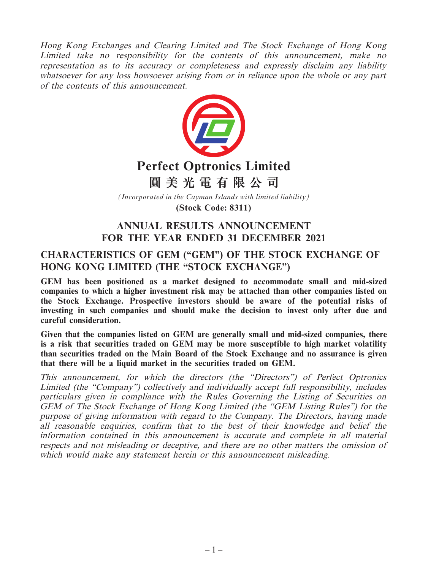Hong Kong Exchanges and Clearing Limited and The Stock Exchange of Hong Kong Limited take no responsibility for the contents of this announcement, make no representation as to its accuracy or completeness and expressly disclaim any liability whatsoever for any loss howsoever arising from or in reliance upon the whole or any part of the contents of this announcement.



# **Perfect Optronics Limited**

**圓美光電有限公司**

*(Incorporated in the Cayman Islands with limited liability)*

**(Stock Code: 8311)**

# **ANNUAL RESULTS ANNOUNCEMENT FOR THE YEAR ENDED 31 DECEMBER 2021**

# **CHARACTERISTICS OF GEM ("GEM") OF THE STOCK EXCHANGE OF HONG KONG LIMITED (THE "STOCK EXCHANGE")**

**GEM has been positioned as a market designed to accommodate small and mid-sized companies to which a higher investment risk may be attached than other companies listed on the Stock Exchange. Prospective investors should be aware of the potential risks of investing in such companies and should make the decision to invest only after due and careful consideration.**

**Given that the companies listed on GEM are generally small and mid-sized companies, there is a risk that securities traded on GEM may be more susceptible to high market volatility than securities traded on the Main Board of the Stock Exchange and no assurance is given that there will be a liquid market in the securities traded on GEM.**

This announcement, for which the directors (the "Directors") of Perfect Optronics Limited (the "Company") collectively and individually accept full responsibility, includes particulars given in compliance with the Rules Governing the Listing of Securities on GEM of The Stock Exchange of Hong Kong Limited (the "GEM Listing Rules") for the purpose of giving information with regard to the Company. The Directors, having made all reasonable enquiries, confirm that to the best of their knowledge and belief the information contained in this announcement is accurate and complete in all material respects and not misleading or deceptive, and there are no other matters the omission of which would make any statement herein or this announcement misleading.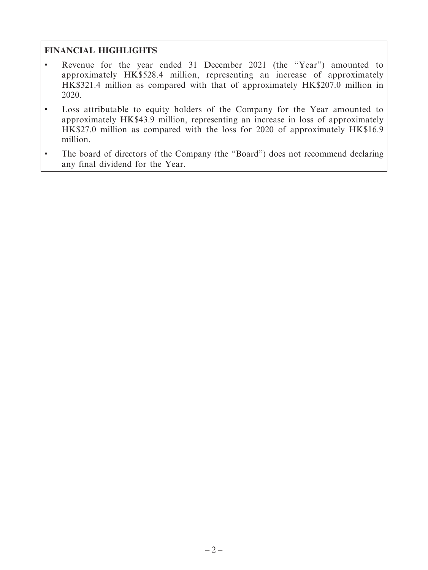# **FINANCIAL HIGHLIGHTS**

- Revenue for the year ended 31 December 2021 (the "Year") amounted to approximately HK\$528.4 million, representing an increase of approximately HK\$321.4 million as compared with that of approximately HK\$207.0 million in 2020.
- Loss attributable to equity holders of the Company for the Year amounted to approximately HK\$43.9 million, representing an increase in loss of approximately HK\$27.0 million as compared with the loss for 2020 of approximately HK\$16.9 million.
- The board of directors of the Company (the "Board") does not recommend declaring any final dividend for the Year.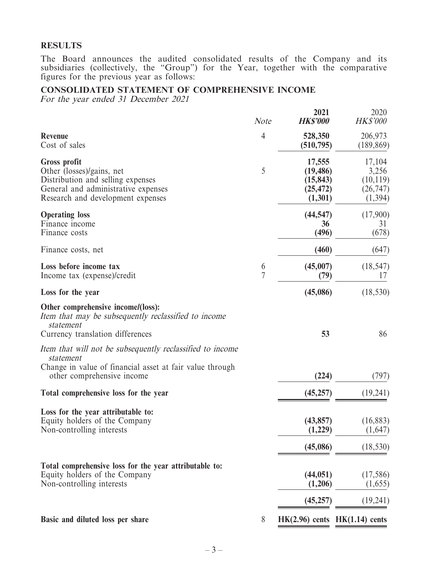#### **RESULTS**

The Board announces the audited consolidated results of the Company and its subsidiaries (collectively, the "Group") for the Year, together with the comparative figures for the previous year as follows:

### **CONSOLIDATED STATEMENT OF COMPREHENSIVE INCOME**

For the year ended 31 December 2021

|                                                                                                                                                                   | <b>Note</b>    | 2021<br><b>HK\$'000</b>                                  | 2020<br><b>HK\$'000</b>                               |
|-------------------------------------------------------------------------------------------------------------------------------------------------------------------|----------------|----------------------------------------------------------|-------------------------------------------------------|
| <b>Revenue</b><br>Cost of sales                                                                                                                                   | $\overline{4}$ | 528,350<br>(510, 795)                                    | 206,973<br>(189, 869)                                 |
| <b>Gross profit</b><br>Other (losses)/gains, net<br>Distribution and selling expenses<br>General and administrative expenses<br>Research and development expenses | 5              | 17,555<br>(19, 486)<br>(15, 843)<br>(25, 472)<br>(1,301) | 17,104<br>3,256<br>(10, 119)<br>(26, 747)<br>(1, 394) |
| <b>Operating loss</b><br>Finance income<br>Finance costs                                                                                                          |                | (44, 547)<br>36<br>(496)                                 | (17,900)<br>31<br>(678)                               |
| Finance costs, net                                                                                                                                                |                | (460)                                                    | (647)                                                 |
| Loss before income tax<br>Income tax (expense)/credit                                                                                                             | 6<br>7         | (45,007)<br>(79)                                         | (18, 547)<br>17                                       |
| Loss for the year                                                                                                                                                 |                | (45,086)                                                 | (18, 530)                                             |
| Other comprehensive income/(loss):<br>Item that may be subsequently reclassified to income<br>statement<br>Currency translation differences                       |                | 53                                                       | 86                                                    |
| Item that will not be subsequently reclassified to income<br>statement<br>Change in value of financial asset at fair value through<br>other comprehensive income  |                | (224)                                                    | (797)                                                 |
| Total comprehensive loss for the year                                                                                                                             |                | (45, 257)                                                | (19,241)                                              |
| Loss for the year attributable to:<br>Equity holders of the Company<br>Non-controlling interests                                                                  |                | (43, 857)<br>(1,229)                                     | (16,883)<br>(1,647)                                   |
|                                                                                                                                                                   |                | (45,086)                                                 | (18, 530)                                             |
| Total comprehensive loss for the year attributable to:<br>Equity holders of the Company<br>Non-controlling interests                                              |                | (44, 051)<br>(1,206)                                     | (17,586)<br>(1,655)                                   |
|                                                                                                                                                                   |                | (45, 257)                                                | (19,241)                                              |
| Basic and diluted loss per share                                                                                                                                  | 8              | $HK(2.96)$ cents $HK(1.14)$ cents                        |                                                       |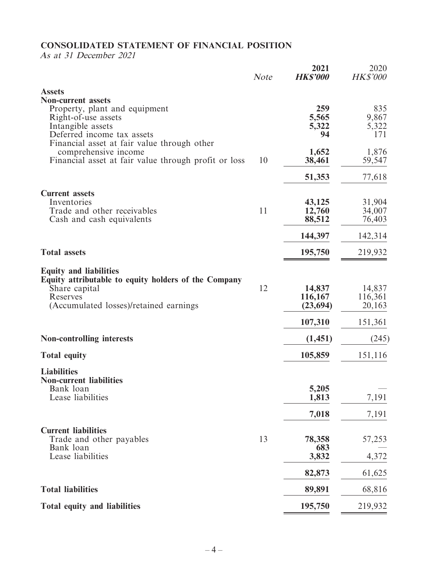# **CONSOLIDATED STATEMENT OF FINANCIAL POSITION**

As at 31 December 2021

|                                                                           | <b>Note</b> | 2021<br><b>HK\$'000</b> | 2020<br><b>HK\$'000</b> |
|---------------------------------------------------------------------------|-------------|-------------------------|-------------------------|
| <b>Assets</b>                                                             |             |                         |                         |
| <b>Non-current assets</b><br>Property, plant and equipment                |             | 259                     | 835                     |
| Right-of-use assets                                                       |             | 5,565                   | 9,867                   |
| Intangible assets                                                         |             | 5,322                   | 5,322                   |
| Deferred income tax assets<br>Financial asset at fair value through other |             | 94                      | 171                     |
| comprehensive income                                                      |             | 1,652                   | 1,876                   |
| Financial asset at fair value through profit or loss                      | 10          | 38,461                  | 59,547                  |
|                                                                           |             | 51,353                  | 77,618                  |
| <b>Current assets</b>                                                     |             |                         |                         |
| Inventories                                                               |             | 43,125                  | 31,904                  |
| Trade and other receivables<br>Cash and cash equivalents                  | 11          | 12,760<br>88,512        | 34,007<br>76,403        |
|                                                                           |             |                         |                         |
|                                                                           |             | 144,397                 | 142,314                 |
| <b>Total assets</b>                                                       |             | 195,750                 | 219,932                 |
| <b>Equity and liabilities</b>                                             |             |                         |                         |
| Equity attributable to equity holders of the Company                      |             |                         |                         |
| Share capital<br>Reserves                                                 | 12          | 14,837<br>116,167       | 14,837<br>116,361       |
| (Accumulated losses)/retained earnings                                    |             | (23, 694)               | 20,163                  |
|                                                                           |             | 107,310                 | 151,361                 |
| <b>Non-controlling interests</b>                                          |             | (1,451)                 | (245)                   |
| <b>Total equity</b>                                                       |             | 105,859                 | 151,116                 |
| <b>Liabilities</b>                                                        |             |                         |                         |
| <b>Non-current liabilities</b>                                            |             |                         |                         |
| Bank loan<br>Lease liabilities                                            |             | 5,205<br>1,813          | 7,191                   |
|                                                                           |             |                         |                         |
|                                                                           |             | 7,018                   | 7,191                   |
| <b>Current liabilities</b>                                                |             |                         |                         |
| Trade and other payables<br>Bank loan                                     | 13          | 78,358<br>683           | 57,253                  |
| Lease liabilities                                                         |             | 3,832                   | 4,372                   |
|                                                                           |             | 82,873                  | 61,625                  |
| <b>Total liabilities</b>                                                  |             | 89,891                  | 68,816                  |
| Total equity and liabilities                                              |             | 195,750                 | 219,932                 |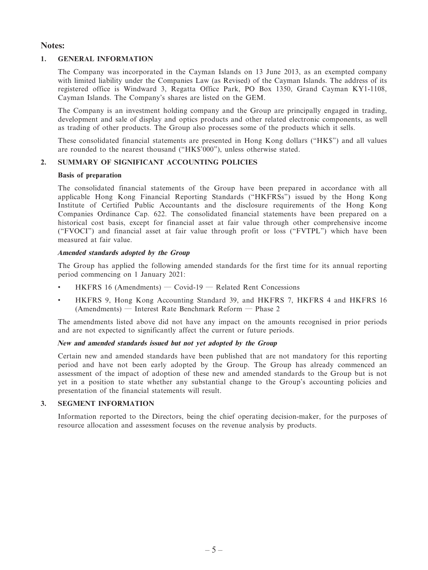#### **Notes:**

#### **1. GENERAL INFORMATION**

The Company was incorporated in the Cayman Islands on 13 June 2013, as an exempted company with limited liability under the Companies Law (as Revised) of the Cayman Islands. The address of its registered office is Windward 3, Regatta Office Park, PO Box 1350, Grand Cayman KY1-1108, Cayman Islands. The Company's shares are listed on the GEM.

The Company is an investment holding company and the Group are principally engaged in trading, development and sale of display and optics products and other related electronic components, as well as trading of other products. The Group also processes some of the products which it sells.

These consolidated financial statements are presented in Hong Kong dollars ("HK\$") and all values are rounded to the nearest thousand ("HK\$'000"), unless otherwise stated.

#### **2. SUMMARY OF SIGNIFICANT ACCOUNTING POLICIES**

#### **Basis of preparation**

The consolidated financial statements of the Group have been prepared in accordance with all applicable Hong Kong Financial Reporting Standards ("HKFRSs") issued by the Hong Kong Institute of Certified Public Accountants and the disclosure requirements of the Hong Kong Companies Ordinance Cap. 622. The consolidated financial statements have been prepared on a historical cost basis, except for financial asset at fair value through other comprehensive income ("FVOCI") and financial asset at fair value through profit or loss ("FVTPL") which have been measured at fair value.

#### **Amended standards adopted by the Group**

The Group has applied the following amended standards for the first time for its annual reporting period commencing on 1 January 2021:

- $HKFRS$  16 (Amendments) Covid-19 Related Rent Concessions
- HKFRS 9, Hong Kong Accounting Standard 39, and HKFRS 7, HKFRS 4 and HKFRS 16 (Amendments) — Interest Rate Benchmark Reform — Phase 2

The amendments listed above did not have any impact on the amounts recognised in prior periods and are not expected to significantly affect the current or future periods.

#### **New and amended standards issued but not yet adopted by the Group**

Certain new and amended standards have been published that are not mandatory for this reporting period and have not been early adopted by the Group. The Group has already commenced an assessment of the impact of adoption of these new and amended standards to the Group but is not yet in a position to state whether any substantial change to the Group's accounting policies and presentation of the financial statements will result.

#### **3. SEGMENT INFORMATION**

Information reported to the Directors, being the chief operating decision-maker, for the purposes of resource allocation and assessment focuses on the revenue analysis by products.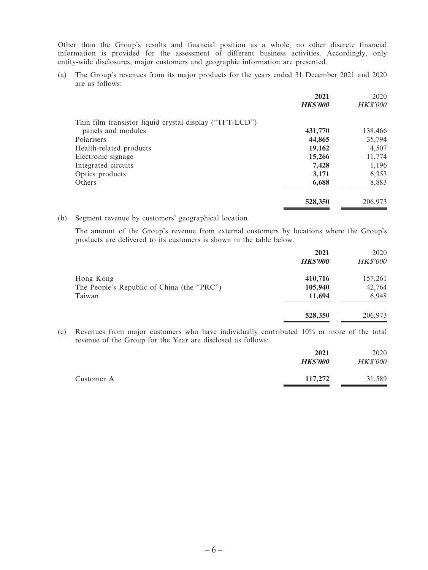Other than the Group's results and financial position as a whole, no other discrete financial information is provided for the assessment of different business activities. Accordingly, only entity-wide disclosures, major customers and geographic information are presented.

(a) The Group's revenues from its major products for the years ended 31 December 2021 and 2020 are as follows:

|                                                         | 2021           | 2020            |
|---------------------------------------------------------|----------------|-----------------|
|                                                         | <b>HKS'000</b> | <b>HK\$'000</b> |
| Thin film transistor liquid crystal display ("TFT-LCD") |                |                 |
| panels and modules                                      | 431,770        | 138,466         |
| Polarisers                                              | 44,865         | 35,794          |
| Health-related products                                 | 19,162         | 4,507           |
| Electronic signage                                      | 15,266         | 11,774          |
| Integrated circuits                                     | 7,428          | 1,196           |
| Optics products                                         | 3,171          | 6,353           |
| Others                                                  | 6,688          | 8,883           |
|                                                         | 528,350        | 206,973         |

#### (b) Segment revenue by customers' geographical location

The amount of the Group's revenue from external customers by locations where the Group's products are delivered to its customers is shown in the table below.

|                                            | 2021<br><b>HKS'000</b> | 2020<br><b>HK\$'000</b> |
|--------------------------------------------|------------------------|-------------------------|
| Hong Kong                                  | 410,716                | 157,261                 |
| The People's Republic of China (the "PRC") | 105,940                | 42,764                  |
| Taiwan                                     | 11,694                 | 6,948                   |
|                                            | 528,350                | 206,973                 |

(c) Revenues from major customers who have individually contributed 10% or more of the total revenue of the Group for the Year are disclosed as follows:

|            | 2021<br><b>HKS'000</b> | 2020<br><b>HK\$'000</b> |
|------------|------------------------|-------------------------|
| Customer A | 117,272                | 31,589                  |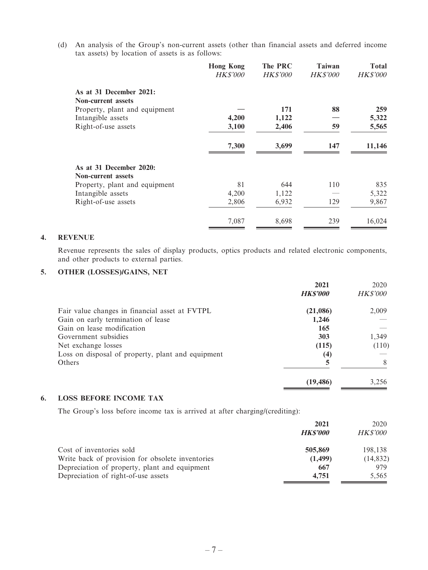(d) An analysis of the Group's non-current assets (other than financial assets and deferred income tax assets) by location of assets is as follows:

| <b>Hong Kong</b> | The PRC         | Taiwan          | Total           |
|------------------|-----------------|-----------------|-----------------|
| <b>HK\$'000</b>  | <b>HK\$'000</b> | <b>HK\$'000</b> | <b>HK\$'000</b> |
|                  |                 |                 |                 |
|                  |                 |                 |                 |
|                  | 171             | 88              | 259             |
| 4,200            | 1,122           |                 | 5,322           |
| 3,100            | 2,406           | 59              | 5,565           |
| 7,300            | 3,699           | 147             | 11,146          |
|                  |                 |                 |                 |
|                  |                 |                 |                 |
| 81               | 644             | 110             | 835             |
| 4,200            | 1,122           |                 | 5,322           |
| 2,806            | 6,932           | 129             | 9,867           |
| 7,087            | 8,698           | 239             | 16,024          |
|                  |                 |                 |                 |

#### **4. REVENUE**

Revenue represents the sales of display products, optics products and related electronic components, and other products to external parties.

#### **5. OTHER (LOSSES)/GAINS, NET**

|                                                   | 2021            | 2020            |
|---------------------------------------------------|-----------------|-----------------|
|                                                   | <b>HK\$'000</b> | <b>HK\$'000</b> |
| Fair value changes in financial asset at FVTPL    | (21,086)        | 2,009           |
| Gain on early termination of lease                | 1,246           |                 |
| Gain on lease modification                        | 165             |                 |
| Government subsidies                              | 303             | 1,349           |
| Net exchange losses                               | (115)           | (110)           |
| Loss on disposal of property, plant and equipment | (4)             |                 |
| Others                                            | 5               | 8               |
|                                                   | (19, 486)       | 3,256           |

#### **6. LOSS BEFORE INCOME TAX**

The Group's loss before income tax is arrived at after charging/(crediting):

|                                                  | 2021           | 2020            |
|--------------------------------------------------|----------------|-----------------|
|                                                  | <b>HKS'000</b> | <i>HK\$'000</i> |
| Cost of inventories sold                         | 505,869        | 198.138         |
| Write back of provision for obsolete inventories | (1, 499)       | (14, 832)       |
| Depreciation of property, plant and equipment    | 667            | 979             |
| Depreciation of right-of-use assets              | 4.751          | 5.565           |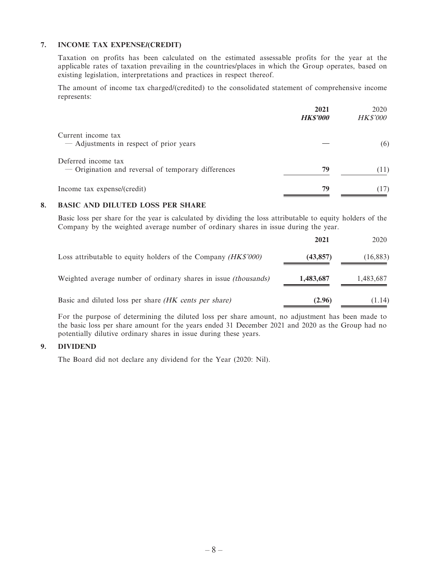#### **7. INCOME TAX EXPENSE/(CREDIT)**

Taxation on profits has been calculated on the estimated assessable profits for the year at the applicable rates of taxation prevailing in the countries/places in which the Group operates, based on existing legislation, interpretations and practices in respect thereof.

The amount of income tax charged/(credited) to the consolidated statement of comprehensive income represents:

| 2021<br><b>HK\$'000</b> | 2020<br><b>HK\$'000</b> |
|-------------------------|-------------------------|
|                         |                         |
|                         | (6)                     |
|                         |                         |
| 79                      | (11)                    |
| 79                      | (17)                    |
|                         |                         |

#### **8. BASIC AND DILUTED LOSS PER SHARE**

Basic loss per share for the year is calculated by dividing the loss attributable to equity holders of the Company by the weighted average number of ordinary shares in issue during the year.

|                                                                        | 2021      | 2020      |
|------------------------------------------------------------------------|-----------|-----------|
| Loss attributable to equity holders of the Company (HK\$'000)          | (43, 857) | (16, 883) |
| Weighted average number of ordinary shares in issue <i>(thousands)</i> | 1,483,687 | 1,483,687 |
| Basic and diluted loss per share <i>(HK cents per share)</i>           | (2.96)    | (1.14)    |

For the purpose of determining the diluted loss per share amount, no adjustment has been made to the basic loss per share amount for the years ended 31 December 2021 and 2020 as the Group had no potentially dilutive ordinary shares in issue during these years.

#### **9. DIVIDEND**

The Board did not declare any dividend for the Year (2020: Nil).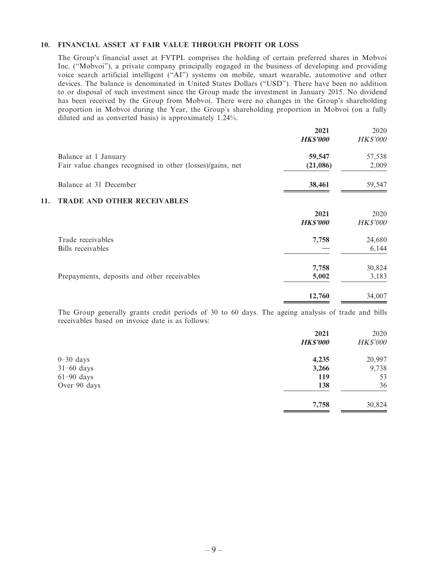#### **10. FINANCIAL ASSET AT FAIR VALUE THROUGH PROFIT OR LOSS**

The Group's financial asset at FVTPL comprises the holding of certain preferred shares in Mobvoi Inc. ("Mobvoi"), a private company principally engaged in the business of developing and providing voice search artificial intelligent ("AI") systems on mobile, smart wearable, automotive and other devices. The balance is denominated in United States Dollars ("USD"). There have been no addition to or disposal of such investment since the Group made the investment in January 2015. No dividend has been received by the Group from Mobvoi. There were no changes in the Group's shareholding proportion in Mobvoi during the Year, the Group's shareholding proportion in Mobvoi (on a fully diluted and as converted basis) is approximately 1.24%.

|                                                                                    | 2021<br><b>HK\$'000</b> | 2020<br><b>HK\$'000</b> |
|------------------------------------------------------------------------------------|-------------------------|-------------------------|
| Balance at 1 January<br>Fair value changes recognised in other (losses)/gains, net | 59,547<br>(21,086)      | 57,538<br>2,009         |
| Balance at 31 December                                                             | 38,461                  | 59,547                  |
| <b>TRADE AND OTHER RECEIVABLES</b><br>11.                                          |                         |                         |
|                                                                                    | 2021<br><b>HK\$'000</b> | 2020<br><b>HK\$'000</b> |
| Trade receivables<br>Bills receivables                                             | 7,758                   | 24,680<br>6,144         |
| Prepayments, deposits and other receivables                                        | 7,758<br>5,002          | 30,824<br>3,183         |
|                                                                                    | 12,760                  | 34,007                  |

The Group generally grants credit periods of 30 to 60 days. The ageing analysis of trade and bills receivables based on invoice date is as follows:

|              | 2021            | 2020            |
|--------------|-----------------|-----------------|
|              | <b>HK\$'000</b> | <b>HK\$'000</b> |
| $0-30$ days  | 4,235           | 20,997          |
| $31-60$ days | 3,266           | 9,738           |
| $61-90$ days | 119             | 53              |
| Over 90 days | 138             | 36              |
|              | 7,758           | 30,824          |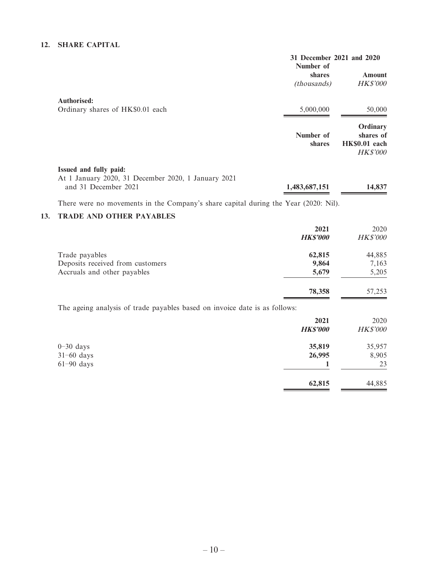#### **12. SHARE CAPITAL**

|                                                     | 31 December 2021 and 2020<br>Number of |                 |
|-----------------------------------------------------|----------------------------------------|-----------------|
|                                                     | shares                                 | Amount          |
|                                                     | <i>(thousands)</i>                     | <b>HK\$'000</b> |
| <b>Authorised:</b>                                  |                                        |                 |
| Ordinary shares of HK\$0.01 each                    | 5,000,000                              | 50,000          |
|                                                     |                                        | Ordinary        |
|                                                     | Number of                              | shares of       |
|                                                     | shares                                 | HK\$0.01 each   |
|                                                     |                                        | <b>HK\$'000</b> |
| Issued and fully paid:                              |                                        |                 |
| At 1 January 2020, 31 December 2020, 1 January 2021 |                                        |                 |
| and 31 December 2021                                | 1,483,687,151                          | 14,837          |
|                                                     |                                        |                 |

There were no movements in the Company's share capital during the Year (2020: Nil).

#### **13. TRADE AND OTHER PAYABLES**

|                                                                            | 2021<br><b>HK\$'000</b> | 2020<br><b>HK\$'000</b> |
|----------------------------------------------------------------------------|-------------------------|-------------------------|
| Trade payables                                                             | 62,815                  | 44,885                  |
| Deposits received from customers                                           | 9,864                   | 7,163                   |
| Accruals and other payables                                                | 5,679                   | 5,205                   |
|                                                                            | 78,358                  | 57,253                  |
| The ageing analysis of trade payables based on invoice date is as follows: |                         |                         |
|                                                                            | 2021                    | 2020                    |
|                                                                            | <b>HK\$'000</b>         | <b>HK\$'000</b>         |
| $0-30$ days                                                                | 35,819                  | 35,957                  |
| $31-60$ days                                                               | 26,995                  | 8,905                   |
| $61-90$ days                                                               |                         | 23                      |
|                                                                            | 62,815                  | 44,885                  |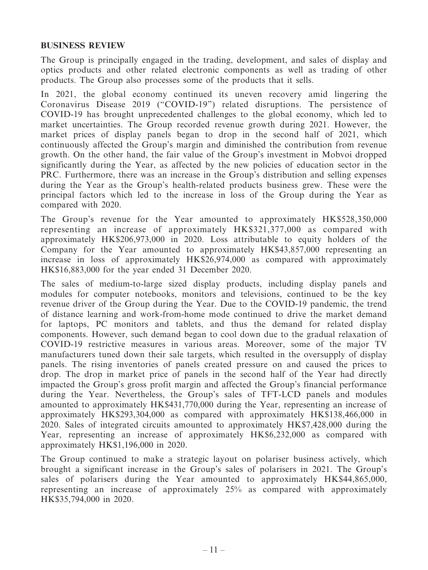#### **BUSINESS REVIEW**

The Group is principally engaged in the trading, development, and sales of display and optics products and other related electronic components as well as trading of other products. The Group also processes some of the products that it sells.

In 2021, the global economy continued its uneven recovery amid lingering the Coronavirus Disease 2019 ("COVID-19") related disruptions. The persistence of COVID-19 has brought unprecedented challenges to the global economy, which led to market uncertainties. The Group recorded revenue growth during 2021. However, the market prices of display panels began to drop in the second half of 2021, which continuously affected the Group's margin and diminished the contribution from revenue growth. On the other hand, the fair value of the Group's investment in Mobvoi dropped significantly during the Year, as affected by the new policies of education sector in the PRC. Furthermore, there was an increase in the Group's distribution and selling expenses during the Year as the Group's health-related products business grew. These were the principal factors which led to the increase in loss of the Group during the Year as compared with 2020.

The Group's revenue for the Year amounted to approximately HK\$528,350,000 representing an increase of approximately HK\$321,377,000 as compared with approximately HK\$206,973,000 in 2020. Loss attributable to equity holders of the Company for the Year amounted to approximately HK\$43,857,000 representing an increase in loss of approximately HK\$26,974,000 as compared with approximately HK\$16,883,000 for the year ended 31 December 2020.

The sales of medium-to-large sized display products, including display panels and modules for computer notebooks, monitors and televisions, continued to be the key revenue driver of the Group during the Year. Due to the COVID-19 pandemic, the trend of distance learning and work-from-home mode continued to drive the market demand for laptops, PC monitors and tablets, and thus the demand for related display components. However, such demand began to cool down due to the gradual relaxation of COVID-19 restrictive measures in various areas. Moreover, some of the major TV manufacturers tuned down their sale targets, which resulted in the oversupply of display panels. The rising inventories of panels created pressure on and caused the prices to drop. The drop in market price of panels in the second half of the Year had directly impacted the Group's gross profit margin and affected the Group's financial performance during the Year. Nevertheless, the Group's sales of TFT-LCD panels and modules amounted to approximately HK\$431,770,000 during the Year, representing an increase of approximately HK\$293,304,000 as compared with approximately HK\$138,466,000 in 2020. Sales of integrated circuits amounted to approximately HK\$7,428,000 during the Year, representing an increase of approximately HK\$6,232,000 as compared with approximately HK\$1,196,000 in 2020.

The Group continued to make a strategic layout on polariser business actively, which brought a significant increase in the Group's sales of polarisers in 2021. The Group's sales of polarisers during the Year amounted to approximately HK\$44,865,000, representing an increase of approximately 25% as compared with approximately HK\$35,794,000 in 2020.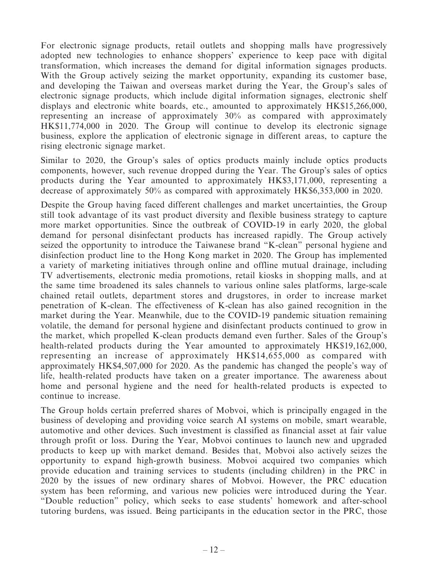For electronic signage products, retail outlets and shopping malls have progressively adopted new technologies to enhance shoppers' experience to keep pace with digital transformation, which increases the demand for digital information signages products. With the Group actively seizing the market opportunity, expanding its customer base, and developing the Taiwan and overseas market during the Year, the Group's sales of electronic signage products, which include digital information signages, electronic shelf displays and electronic white boards, etc., amounted to approximately HK\$15,266,000, representing an increase of approximately 30% as compared with approximately HK\$11,774,000 in 2020. The Group will continue to develop its electronic signage business, explore the application of electronic signage in different areas, to capture the rising electronic signage market.

Similar to 2020, the Group's sales of optics products mainly include optics products components, however, such revenue dropped during the Year. The Group's sales of optics products during the Year amounted to approximately HK\$3,171,000, representing a decrease of approximately 50% as compared with approximately HK\$6,353,000 in 2020.

Despite the Group having faced different challenges and market uncertainties, the Group still took advantage of its vast product diversity and flexible business strategy to capture more market opportunities. Since the outbreak of COVID-19 in early 2020, the global demand for personal disinfectant products has increased rapidly. The Group actively seized the opportunity to introduce the Taiwanese brand "K-clean" personal hygiene and disinfection product line to the Hong Kong market in 2020. The Group has implemented a variety of marketing initiatives through online and offline mutual drainage, including TV advertisements, electronic media promotions, retail kiosks in shopping malls, and at the same time broadened its sales channels to various online sales platforms, large-scale chained retail outlets, department stores and drugstores, in order to increase market penetration of K-clean. The effectiveness of K-clean has also gained recognition in the market during the Year. Meanwhile, due to the COVID-19 pandemic situation remaining volatile, the demand for personal hygiene and disinfectant products continued to grow in the market, which propelled K-clean products demand even further. Sales of the Group's health-related products during the Year amounted to approximately HK\$19,162,000, representing an increase of approximately HK\$14,655,000 as compared with approximately HK\$4,507,000 for 2020. As the pandemic has changed the people's way of life, health-related products have taken on a greater importance. The awareness about home and personal hygiene and the need for health-related products is expected to continue to increase.

The Group holds certain preferred shares of Mobvoi, which is principally engaged in the business of developing and providing voice search AI systems on mobile, smart wearable, automotive and other devices. Such investment is classified as financial asset at fair value through profit or loss. During the Year, Mobvoi continues to launch new and upgraded products to keep up with market demand. Besides that, Mobvoi also actively seizes the opportunity to expand high-growth business. Mobvoi acquired two companies which provide education and training services to students (including children) in the PRC in 2020 by the issues of new ordinary shares of Mobvoi. However, the PRC education system has been reforming, and various new policies were introduced during the Year. "Double reduction" policy, which seeks to ease students' homework and after-school tutoring burdens, was issued. Being participants in the education sector in the PRC, those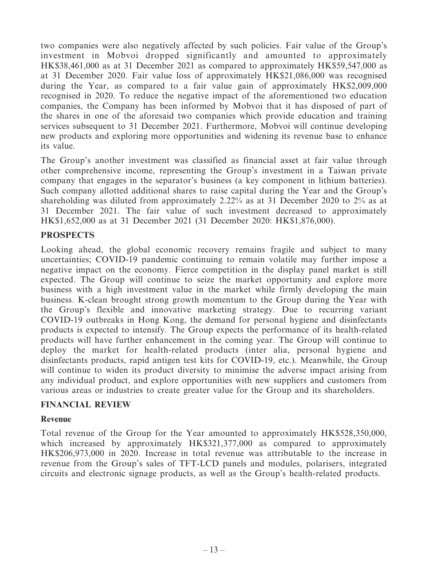two companies were also negatively affected by such policies. Fair value of the Group's investment in Mobvoi dropped significantly and amounted to approximately HK\$38,461,000 as at 31 December 2021 as compared to approximately HK\$59,547,000 as at 31 December 2020. Fair value loss of approximately HK\$21,086,000 was recognised during the Year, as compared to a fair value gain of approximately HK\$2,009,000 recognised in 2020. To reduce the negative impact of the aforementioned two education companies, the Company has been informed by Mobvoi that it has disposed of part of the shares in one of the aforesaid two companies which provide education and training services subsequent to 31 December 2021. Furthermore, Mobvoi will continue developing new products and exploring more opportunities and widening its revenue base to enhance its value.

The Group's another investment was classified as financial asset at fair value through other comprehensive income, representing the Group's investment in a Taiwan private company that engages in the separator's business (a key component in lithium batteries). Such company allotted additional shares to raise capital during the Year and the Group's shareholding was diluted from approximately 2.22% as at 31 December 2020 to 2% as at 31 December 2021. The fair value of such investment decreased to approximately HK\$1,652,000 as at 31 December 2021 (31 December 2020: HK\$1,876,000).

## **PROSPECTS**

Looking ahead, the global economic recovery remains fragile and subject to many uncertainties; COVID-19 pandemic continuing to remain volatile may further impose a negative impact on the economy. Fierce competition in the display panel market is still expected. The Group will continue to seize the market opportunity and explore more business with a high investment value in the market while firmly developing the main business. K-clean brought strong growth momentum to the Group during the Year with the Group's flexible and innovative marketing strategy. Due to recurring variant COVID-19 outbreaks in Hong Kong, the demand for personal hygiene and disinfectants products is expected to intensify. The Group expects the performance of its health-related products will have further enhancement in the coming year. The Group will continue to deploy the market for health-related products (inter alia, personal hygiene and disinfectants products, rapid antigen test kits for COVID-19, etc.). Meanwhile, the Group will continue to widen its product diversity to minimise the adverse impact arising from any individual product, and explore opportunities with new suppliers and customers from various areas or industries to create greater value for the Group and its shareholders.

### **FINANCIAL REVIEW**

#### **Revenue**

Total revenue of the Group for the Year amounted to approximately HK\$528,350,000, which increased by approximately HK\$321,377,000 as compared to approximately HK\$206,973,000 in 2020. Increase in total revenue was attributable to the increase in revenue from the Group's sales of TFT-LCD panels and modules, polarisers, integrated circuits and electronic signage products, as well as the Group's health-related products.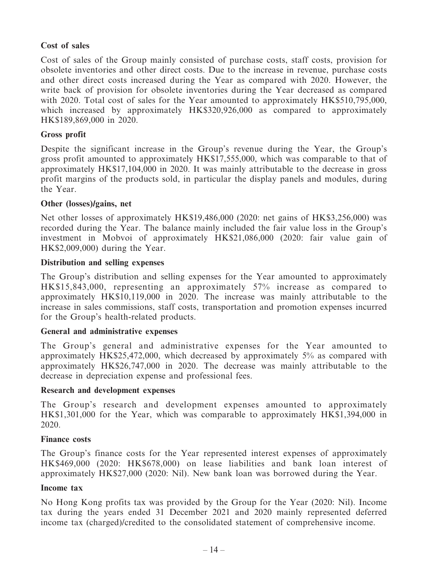## **Cost of sales**

Cost of sales of the Group mainly consisted of purchase costs, staff costs, provision for obsolete inventories and other direct costs. Due to the increase in revenue, purchase costs and other direct costs increased during the Year as compared with 2020. However, the write back of provision for obsolete inventories during the Year decreased as compared with 2020. Total cost of sales for the Year amounted to approximately HK\$510,795,000, which increased by approximately HK\$320,926,000 as compared to approximately HK\$189,869,000 in 2020.

## **Gross profit**

Despite the significant increase in the Group's revenue during the Year, the Group's gross profit amounted to approximately HK\$17,555,000, which was comparable to that of approximately HK\$17,104,000 in 2020. It was mainly attributable to the decrease in gross profit margins of the products sold, in particular the display panels and modules, during the Year.

### **Other (losses)/gains, net**

Net other losses of approximately HK\$19,486,000 (2020: net gains of HK\$3,256,000) was recorded during the Year. The balance mainly included the fair value loss in the Group's investment in Mobvoi of approximately HK\$21,086,000 (2020: fair value gain of HK\$2,009,000) during the Year.

### **Distribution and selling expenses**

The Group's distribution and selling expenses for the Year amounted to approximately HK\$15,843,000, representing an approximately 57% increase as compared to approximately HK\$10,119,000 in 2020. The increase was mainly attributable to the increase in sales commissions, staff costs, transportation and promotion expenses incurred for the Group's health-related products.

### **General and administrative expenses**

The Group's general and administrative expenses for the Year amounted to approximately HK\$25,472,000, which decreased by approximately 5% as compared with approximately HK\$26,747,000 in 2020. The decrease was mainly attributable to the decrease in depreciation expense and professional fees.

### **Research and development expenses**

The Group's research and development expenses amounted to approximately HK\$1,301,000 for the Year, which was comparable to approximately HK\$1,394,000 in 2020.

### **Finance costs**

The Group's finance costs for the Year represented interest expenses of approximately HK\$469,000 (2020: HK\$678,000) on lease liabilities and bank loan interest of approximately HK\$27,000 (2020: Nil). New bank loan was borrowed during the Year.

### **Income tax**

No Hong Kong profits tax was provided by the Group for the Year (2020: Nil). Income tax during the years ended 31 December 2021 and 2020 mainly represented deferred income tax (charged)/credited to the consolidated statement of comprehensive income.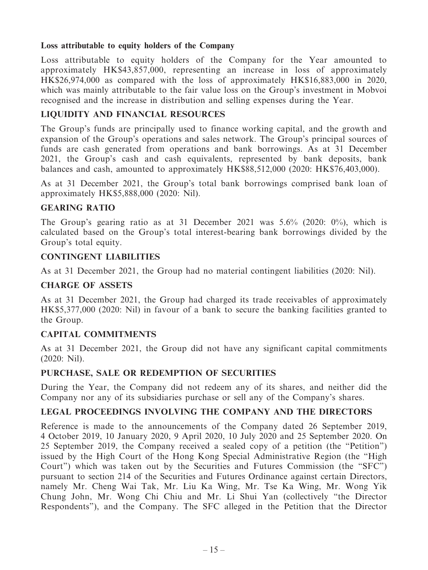### **Loss attributable to equity holders of the Company**

Loss attributable to equity holders of the Company for the Year amounted to approximately HK\$43,857,000, representing an increase in loss of approximately HK\$26,974,000 as compared with the loss of approximately HK\$16,883,000 in 2020, which was mainly attributable to the fair value loss on the Group's investment in Mobvoi recognised and the increase in distribution and selling expenses during the Year.

## **LIQUIDITY AND FINANCIAL RESOURCES**

The Group's funds are principally used to finance working capital, and the growth and expansion of the Group's operations and sales network. The Group's principal sources of funds are cash generated from operations and bank borrowings. As at 31 December 2021, the Group's cash and cash equivalents, represented by bank deposits, bank balances and cash, amounted to approximately HK\$88,512,000 (2020: HK\$76,403,000).

As at 31 December 2021, the Group's total bank borrowings comprised bank loan of approximately HK\$5,888,000 (2020: Nil).

### **GEARING RATIO**

The Group's gearing ratio as at 31 December 2021 was 5.6% (2020: 0%), which is calculated based on the Group's total interest-bearing bank borrowings divided by the Group's total equity.

### **CONTINGENT LIABILITIES**

As at 31 December 2021, the Group had no material contingent liabilities (2020: Nil).

#### **CHARGE OF ASSETS**

As at 31 December 2021, the Group had charged its trade receivables of approximately HK\$5,377,000 (2020: Nil) in favour of a bank to secure the banking facilities granted to the Group.

### **CAPITAL COMMITMENTS**

As at 31 December 2021, the Group did not have any significant capital commitments (2020: Nil).

#### **PURCHASE, SALE OR REDEMPTION OF SECURITIES**

During the Year, the Company did not redeem any of its shares, and neither did the Company nor any of its subsidiaries purchase or sell any of the Company's shares.

### **LEGAL PROCEEDINGS INVOLVING THE COMPANY AND THE DIRECTORS**

Reference is made to the announcements of the Company dated 26 September 2019, 4 October 2019, 10 January 2020, 9 April 2020, 10 July 2020 and 25 September 2020. On 25 September 2019, the Company received a sealed copy of a petition (the "Petition") issued by the High Court of the Hong Kong Special Administrative Region (the "High Court") which was taken out by the Securities and Futures Commission (the "SFC") pursuant to section 214 of the Securities and Futures Ordinance against certain Directors, namely Mr. Cheng Wai Tak, Mr. Liu Ka Wing, Mr. Tse Ka Wing, Mr. Wong Yik Chung John, Mr. Wong Chi Chiu and Mr. Li Shui Yan (collectively "the Director Respondents"), and the Company. The SFC alleged in the Petition that the Director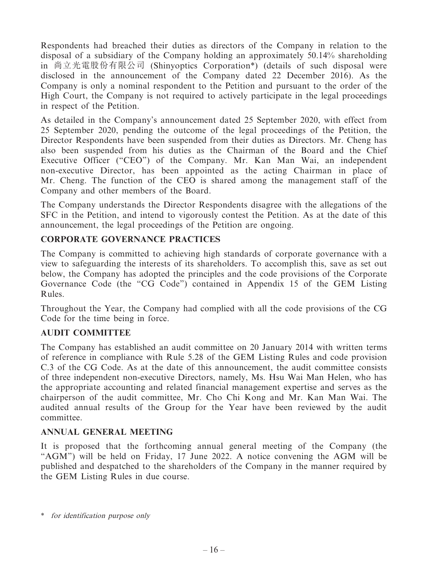Respondents had breached their duties as directors of the Company in relation to the disposal of a subsidiary of the Company holding an approximately 50.14% shareholding in 尚立光電股份有限公司 (Shinyoptics Corporation\*) (details of such disposal were disclosed in the announcement of the Company dated 22 December 2016). As the Company is only a nominal respondent to the Petition and pursuant to the order of the High Court, the Company is not required to actively participate in the legal proceedings in respect of the Petition.

As detailed in the Company's announcement dated 25 September 2020, with effect from 25 September 2020, pending the outcome of the legal proceedings of the Petition, the Director Respondents have been suspended from their duties as Directors. Mr. Cheng has also been suspended from his duties as the Chairman of the Board and the Chief Executive Officer ("CEO") of the Company. Mr. Kan Man Wai, an independent non-executive Director, has been appointed as the acting Chairman in place of Mr. Cheng. The function of the CEO is shared among the management staff of the Company and other members of the Board.

The Company understands the Director Respondents disagree with the allegations of the SFC in the Petition, and intend to vigorously contest the Petition. As at the date of this announcement, the legal proceedings of the Petition are ongoing.

# **CORPORATE GOVERNANCE PRACTICES**

The Company is committed to achieving high standards of corporate governance with a view to safeguarding the interests of its shareholders. To accomplish this, save as set out below, the Company has adopted the principles and the code provisions of the Corporate Governance Code (the "CG Code") contained in Appendix 15 of the GEM Listing Rules.

Throughout the Year, the Company had complied with all the code provisions of the CG Code for the time being in force.

# **AUDIT COMMITTEE**

The Company has established an audit committee on 20 January 2014 with written terms of reference in compliance with Rule 5.28 of the GEM Listing Rules and code provision C.3 of the CG Code. As at the date of this announcement, the audit committee consists of three independent non-executive Directors, namely, Ms. Hsu Wai Man Helen, who has the appropriate accounting and related financial management expertise and serves as the chairperson of the audit committee, Mr. Cho Chi Kong and Mr. Kan Man Wai. The audited annual results of the Group for the Year have been reviewed by the audit committee.

### **ANNUAL GENERAL MEETING**

It is proposed that the forthcoming annual general meeting of the Company (the "AGM") will be held on Friday, 17 June 2022. A notice convening the AGM will be published and despatched to the shareholders of the Company in the manner required by the GEM Listing Rules in due course.

<sup>\*</sup> for identification purpose only